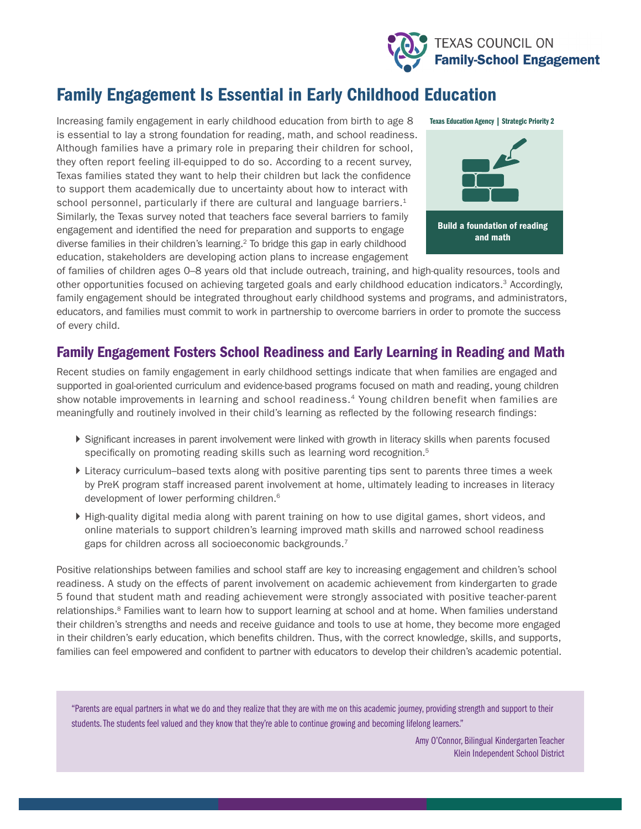

# Family Engagement Is Essential in Early Childhood Education

Increasing family engagement in early childhood education from birth to age 8 is essential to lay a strong foundation for reading, math, and school readiness. Although families have a primary role in preparing their children for school, they often report feeling ill-equipped to do so. According to a recent survey, Texas families stated they want to help their children but lack the confidence to support them academically due to uncertainty about how to interact with school personnel, particularly if there are cultural and language barriers.<sup>1</sup> Similarly, the Texas survey noted that teachers face several barriers to family engagement and identified the need for preparation and supports to engage diverse families in their children's learning.2 To bridge this gap in early childhood education, stakeholders are developing action plans to increase engagement



of families of children ages 0–8 years old that include outreach, training, and high-quality resources, tools and other opportunities focused on achieving targeted goals and early childhood education indicators.3 Accordingly, family engagement should be integrated throughout early childhood systems and programs, and administrators, educators, and families must commit to work in partnership to overcome barriers in order to promote the success of every child.

## Family Engagement Fosters School Readiness and Early Learning in Reading and Math

Recent studies on family engagement in early childhood settings indicate that when families are engaged and supported in goal-oriented curriculum and evidence-based programs focused on math and reading, young children show notable improvements in learning and school readiness.4 Young children benefit when families are meaningfully and routinely involved in their child's learning as reflected by the following research findings:

- ` Significant increases in parent involvement were linked with growth in literacy skills when parents focused specifically on promoting reading skills such as learning word recognition.<sup>5</sup>
- ` Literacy curriculum–based texts along with positive parenting tips sent to parents three times a week by PreK program staff increased parent involvement at home, ultimately leading to increases in literacy development of lower performing children.6
- ` High-quality digital media along with parent training on how to use digital games, short videos, and online materials to support children's learning improved math skills and narrowed school readiness gaps for children across all socioeconomic backgrounds.<sup>7</sup>

Positive relationships between families and school staff are key to increasing engagement and children's school readiness. A study on the effects of parent involvement on academic achievement from kindergarten to grade 5 found that student math and reading achievement were strongly associated with positive teacher-parent relationships.<sup>8</sup> Families want to learn how to support learning at school and at home. When families understand their children's strengths and needs and receive guidance and tools to use at home, they become more engaged in their children's early education, which benefits children. Thus, with the correct knowledge, skills, and supports, families can feel empowered and confident to partner with educators to develop their children's academic potential.

"Parents are equal partners in what we do and they realize that they are with me on this academic journey, providing strength and support to their students. The students feel valued and they know that they're able to continue growing and becoming lifelong learners."

> Amy O'Connor, Bilingual Kindergarten Teacher Klein Independent School District